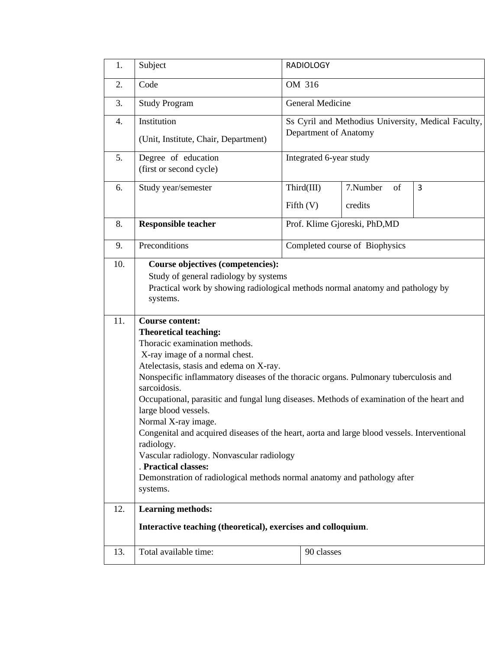| 1.         | Subject                                                                                                                                                                                                                                                                                                                                                                                                                                                                                                                                                                                                                                                                                                                                                                                                                                                                                | <b>RADIOLOGY</b>                                                             |             |          |    |   |  |  |  |
|------------|----------------------------------------------------------------------------------------------------------------------------------------------------------------------------------------------------------------------------------------------------------------------------------------------------------------------------------------------------------------------------------------------------------------------------------------------------------------------------------------------------------------------------------------------------------------------------------------------------------------------------------------------------------------------------------------------------------------------------------------------------------------------------------------------------------------------------------------------------------------------------------------|------------------------------------------------------------------------------|-------------|----------|----|---|--|--|--|
| 2.         | Code                                                                                                                                                                                                                                                                                                                                                                                                                                                                                                                                                                                                                                                                                                                                                                                                                                                                                   | OM 316                                                                       |             |          |    |   |  |  |  |
| 3.         | <b>Study Program</b>                                                                                                                                                                                                                                                                                                                                                                                                                                                                                                                                                                                                                                                                                                                                                                                                                                                                   | General Medicine                                                             |             |          |    |   |  |  |  |
| 4.         | Institution                                                                                                                                                                                                                                                                                                                                                                                                                                                                                                                                                                                                                                                                                                                                                                                                                                                                            | Ss Cyril and Methodius University, Medical Faculty,<br>Department of Anatomy |             |          |    |   |  |  |  |
|            | (Unit, Institute, Chair, Department)                                                                                                                                                                                                                                                                                                                                                                                                                                                                                                                                                                                                                                                                                                                                                                                                                                                   |                                                                              |             |          |    |   |  |  |  |
| 5.         | Degree of education<br>(first or second cycle)                                                                                                                                                                                                                                                                                                                                                                                                                                                                                                                                                                                                                                                                                                                                                                                                                                         | Integrated 6-year study                                                      |             |          |    |   |  |  |  |
| 6.         | Study year/semester                                                                                                                                                                                                                                                                                                                                                                                                                                                                                                                                                                                                                                                                                                                                                                                                                                                                    |                                                                              | Third(III)  | 7.Number | of | 3 |  |  |  |
|            |                                                                                                                                                                                                                                                                                                                                                                                                                                                                                                                                                                                                                                                                                                                                                                                                                                                                                        |                                                                              | Fifth $(V)$ | credits  |    |   |  |  |  |
| 8.         | <b>Responsible teacher</b>                                                                                                                                                                                                                                                                                                                                                                                                                                                                                                                                                                                                                                                                                                                                                                                                                                                             | Prof. Klime Gjoreski, PhD,MD                                                 |             |          |    |   |  |  |  |
| 9.         | Preconditions                                                                                                                                                                                                                                                                                                                                                                                                                                                                                                                                                                                                                                                                                                                                                                                                                                                                          | Completed course of Biophysics                                               |             |          |    |   |  |  |  |
| 10.<br>11. | <b>Course objectives (competencies):</b><br>Study of general radiology by systems<br>Practical work by showing radiological methods normal anatomy and pathology by<br>systems.<br><b>Course content:</b><br><b>Theoretical teaching:</b><br>Thoracic examination methods.<br>X-ray image of a normal chest.<br>Atelectasis, stasis and edema on X-ray.<br>Nonspecific inflammatory diseases of the thoracic organs. Pulmonary tuberculosis and<br>sarcoidosis.<br>Occupational, parasitic and fungal lung diseases. Methods of examination of the heart and<br>large blood vessels.<br>Normal X-ray image.<br>Congenital and acquired diseases of the heart, aorta and large blood vessels. Interventional<br>radiology.<br>Vascular radiology. Nonvascular radiology<br>. Practical classes:<br>Demonstration of radiological methods normal anatomy and pathology after<br>systems. |                                                                              |             |          |    |   |  |  |  |
| 12.        | <b>Learning methods:</b>                                                                                                                                                                                                                                                                                                                                                                                                                                                                                                                                                                                                                                                                                                                                                                                                                                                               |                                                                              |             |          |    |   |  |  |  |
|            | Interactive teaching (theoretical), exercises and colloquium.                                                                                                                                                                                                                                                                                                                                                                                                                                                                                                                                                                                                                                                                                                                                                                                                                          |                                                                              |             |          |    |   |  |  |  |
| 13.        | Total available time:                                                                                                                                                                                                                                                                                                                                                                                                                                                                                                                                                                                                                                                                                                                                                                                                                                                                  |                                                                              | 90 classes  |          |    |   |  |  |  |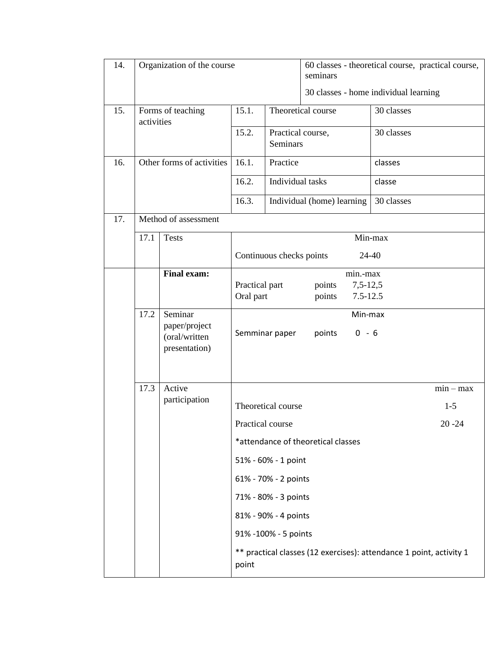| 14. | Organization of the course |                                                                                  |                                   |                                                                                                                                           | 60 classes - theoretical course, practical course,<br>seminars                                            |                                       |                                   |
|-----|----------------------------|----------------------------------------------------------------------------------|-----------------------------------|-------------------------------------------------------------------------------------------------------------------------------------------|-----------------------------------------------------------------------------------------------------------|---------------------------------------|-----------------------------------|
|     |                            |                                                                                  |                                   |                                                                                                                                           |                                                                                                           | 30 classes - home individual learning |                                   |
| 15. | activities                 | Forms of teaching                                                                | 15.1.                             | Theoretical course                                                                                                                        |                                                                                                           | 30 classes                            |                                   |
|     |                            |                                                                                  | 15.2.                             | Practical course,<br>Seminars                                                                                                             |                                                                                                           | 30 classes                            |                                   |
| 16. |                            | Other forms of activities                                                        | 16.1.                             | Practice                                                                                                                                  |                                                                                                           | classes                               |                                   |
|     |                            |                                                                                  | 16.2.                             | Individual tasks                                                                                                                          |                                                                                                           | classe                                |                                   |
|     |                            |                                                                                  |                                   |                                                                                                                                           | Individual (home) learning                                                                                | 30 classes                            |                                   |
| 17. |                            | Method of assessment                                                             |                                   |                                                                                                                                           |                                                                                                           |                                       |                                   |
|     | 17.1                       | <b>Tests</b>                                                                     | Min-max                           |                                                                                                                                           |                                                                                                           |                                       |                                   |
|     |                            |                                                                                  | Continuous checks points<br>24-40 |                                                                                                                                           |                                                                                                           |                                       |                                   |
|     | 17.2                       | <b>Final exam:</b><br>Seminar<br>paper/project<br>(oral/written<br>presentation) | Practical part<br>Oral part       | Semminar paper                                                                                                                            | min.-max<br>$7,5-12,5$<br>points<br>points<br>$7.5 - 12.5$<br>Min-max<br>points<br>$0 - 6$                |                                       |                                   |
|     | 17.3                       | Active<br>participation                                                          | Practical course<br>point         | Theoretical course<br>51% - 60% - 1 point<br>61% - 70% - 2 points<br>71% - 80% - 3 points<br>81% - 90% - 4 points<br>91% -100% - 5 points | *attendance of theoretical classes<br>** practical classes (12 exercises): attendance 1 point, activity 1 |                                       | $min - max$<br>$1-5$<br>$20 - 24$ |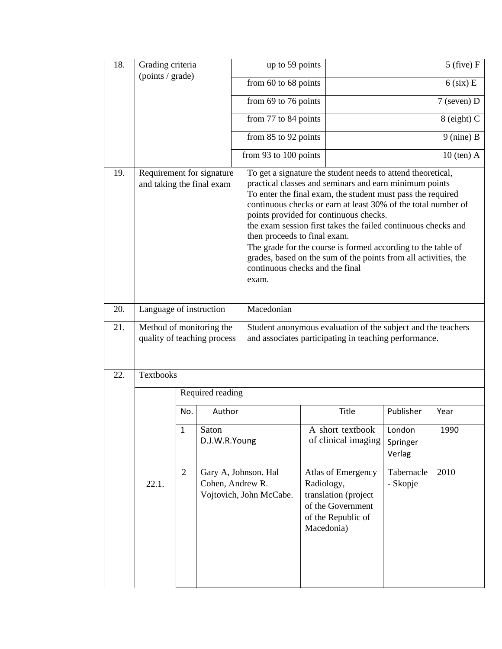| 18. | Grading criteria<br>(points / grade)                    |                                                                 |                  | up to 59 points                                 |                                                                                                                                                                                                                                                                                                                                                                                                                                                                                                                                                                        | $5$ (five) $F$                                                                        |                              |               |  |  |
|-----|---------------------------------------------------------|-----------------------------------------------------------------|------------------|-------------------------------------------------|------------------------------------------------------------------------------------------------------------------------------------------------------------------------------------------------------------------------------------------------------------------------------------------------------------------------------------------------------------------------------------------------------------------------------------------------------------------------------------------------------------------------------------------------------------------------|---------------------------------------------------------------------------------------|------------------------------|---------------|--|--|
|     |                                                         |                                                                 |                  | from $60$ to $68$ points                        |                                                                                                                                                                                                                                                                                                                                                                                                                                                                                                                                                                        | $6$ (six) E                                                                           |                              |               |  |  |
|     |                                                         |                                                                 |                  | from 69 to 76 points                            |                                                                                                                                                                                                                                                                                                                                                                                                                                                                                                                                                                        |                                                                                       |                              | $7$ (seven) D |  |  |
|     |                                                         |                                                                 |                  | from 77 to 84 points                            |                                                                                                                                                                                                                                                                                                                                                                                                                                                                                                                                                                        |                                                                                       | 8 (eight) C                  |               |  |  |
|     |                                                         |                                                                 |                  | from 85 to 92 points                            |                                                                                                                                                                                                                                                                                                                                                                                                                                                                                                                                                                        |                                                                                       | $9$ (nine) B                 |               |  |  |
|     |                                                         |                                                                 |                  | from 93 to 100 points                           |                                                                                                                                                                                                                                                                                                                                                                                                                                                                                                                                                                        | $10$ (ten) A                                                                          |                              |               |  |  |
| 19. | Requirement for signature<br>and taking the final exam  |                                                                 |                  | exam.                                           | To get a signature the student needs to attend theoretical,<br>practical classes and seminars and earn minimum points<br>To enter the final exam, the student must pass the required<br>continuous checks or earn at least 30% of the total number of<br>points provided for continuous checks.<br>the exam session first takes the failed continuous checks and<br>then proceeds to final exam.<br>The grade for the course is formed according to the table of<br>grades, based on the sum of the points from all activities, the<br>continuous checks and the final |                                                                                       |                              |               |  |  |
| 20. | Language of instruction                                 |                                                                 |                  | Macedonian                                      |                                                                                                                                                                                                                                                                                                                                                                                                                                                                                                                                                                        |                                                                                       |                              |               |  |  |
| 21. | Method of monitoring the<br>quality of teaching process |                                                                 |                  |                                                 | Student anonymous evaluation of the subject and the teachers<br>and associates participating in teaching performance.                                                                                                                                                                                                                                                                                                                                                                                                                                                  |                                                                                       |                              |               |  |  |
| 22. | Textbooks                                               |                                                                 |                  |                                                 |                                                                                                                                                                                                                                                                                                                                                                                                                                                                                                                                                                        |                                                                                       |                              |               |  |  |
|     |                                                         |                                                                 | Required reading |                                                 |                                                                                                                                                                                                                                                                                                                                                                                                                                                                                                                                                                        |                                                                                       |                              |               |  |  |
|     | 22.1.                                                   | No.                                                             | Author           |                                                 |                                                                                                                                                                                                                                                                                                                                                                                                                                                                                                                                                                        | Title                                                                                 | Publisher                    | Year          |  |  |
|     |                                                         | $\mathbf{1}$<br>Saton<br>D.J.W.R.Young<br>2<br>Cohen, Andrew R. |                  |                                                 |                                                                                                                                                                                                                                                                                                                                                                                                                                                                                                                                                                        | A short textbook<br>of clinical imaging                                               | London<br>Springer<br>Verlag | 1990          |  |  |
|     |                                                         |                                                                 |                  | Gary A, Johnson. Hal<br>Vojtovich, John McCabe. | Radiology,<br>Macedonia)                                                                                                                                                                                                                                                                                                                                                                                                                                                                                                                                               | Atlas of Emergency<br>translation (project<br>of the Government<br>of the Republic of | Tabernacle<br>- Skopje       | 2010          |  |  |